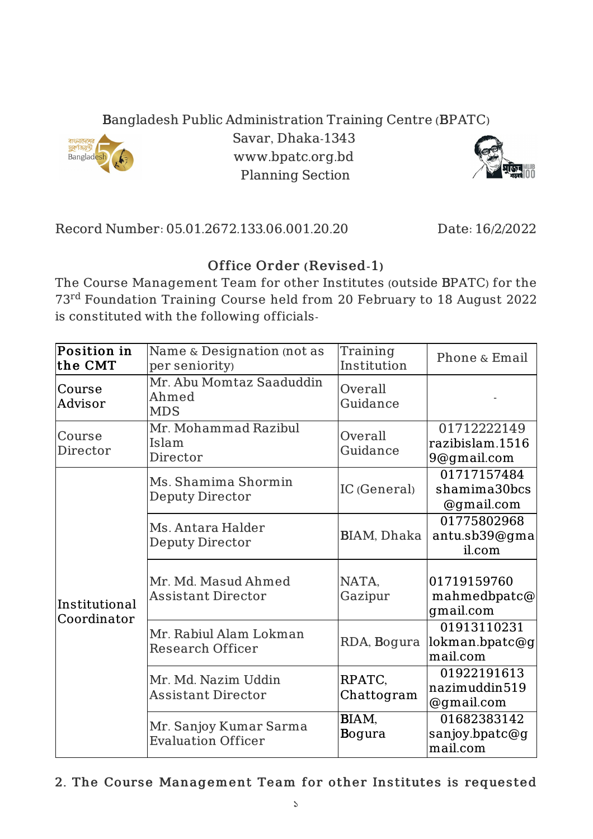Bangladesh Public Administration Training Centre (BPATC)



Savar, Dhaka-1343 www.bpatc.org.bd Planning Section



Record Number: 05.01.2672.133.06.001.20.20 Date: 16/2/2022

## Office Order (Revised-1)

The Course Management Team for other Institutes (outside BPATC) for the 73<sup>rd</sup> Foundation Training Course held from 20 February to 18 August 2022 is constituted with the following officials-

| Position in<br>the CMT       | Name & Designation (not as<br>per seniority)        | Training<br>Institution | Phone & Email                                     |
|------------------------------|-----------------------------------------------------|-------------------------|---------------------------------------------------|
| Course<br>Advisor            | Mr. Abu Momtaz Saaduddin<br>Ahmed<br><b>MDS</b>     | Overall<br>Guidance     |                                                   |
| Course<br>Director           | Mr. Mohammad Razibul<br>Islam<br>Director           | Overall<br>Guidance     | 01712222149<br>razibislam.1516<br>9@gmail.com     |
| Institutional<br>Coordinator | Ms. Shamima Shormin<br><b>Deputy Director</b>       | IC (General)            | 01717157484<br>shamima30bcs<br>@gmail.com         |
|                              | Ms. Antara Halder<br><b>Deputy Director</b>         | BIAM, Dhaka             | 01775802968<br>antu.sb39@gma<br>il.com            |
|                              | Mr. Md. Masud Ahmed<br><b>Assistant Director</b>    | NATA,<br>Gazipur        | 01719159760<br>mahmedbpatc@<br>gmail.com          |
|                              | Mr. Rabiul Alam Lokman<br><b>Research Officer</b>   | RDA, Bogura             | 01913110231<br>$\vert$ lokman.bpatc@g<br>mail.com |
|                              | Mr. Md. Nazim Uddin<br><b>Assistant Director</b>    | RPATC,<br>Chattogram    | 01922191613<br>nazimuddin519<br>@gmail.com        |
|                              | Mr. Sanjoy Kumar Sarma<br><b>Evaluation Officer</b> | BIAM,<br>Bogura         | 01682383142<br>sanjoy.bpatc@g<br>mail.com         |

2. The Course Management Team for other Institutes is requested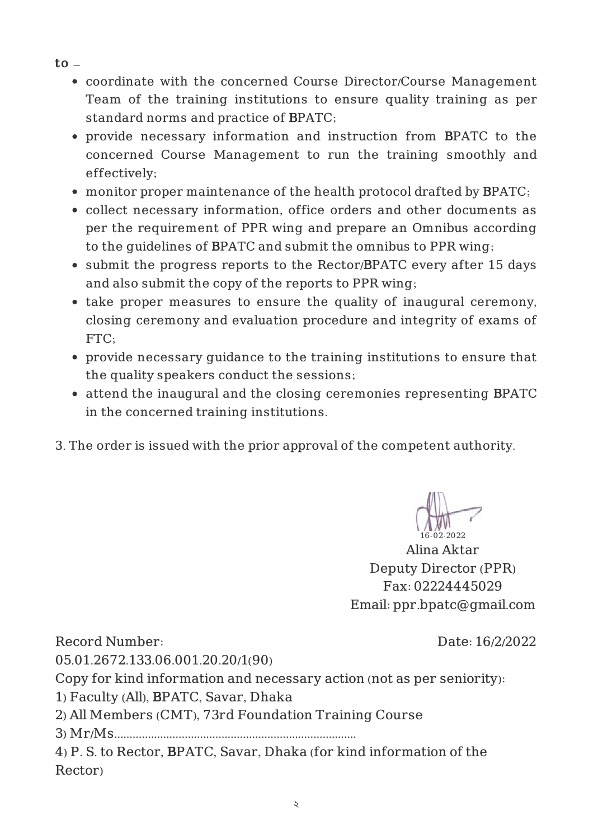- $\mathsf{to}$ 
	- coordinate with the concerned Course Director/Course Management Team of the training institutions to ensure quality training as per standard norms and practice of BPATC;
	- provide necessary information and instruction from BPATC to the concerned Course Management to run the training smoothly and effectively;
	- monitor proper maintenance of the health protocol drafted by BPATC;
	- collect necessary information, office orders and other documents as per the requirement of PPR wing and prepare an Omnibus according to the guidelines of BPATC and submit the omnibus to PPR wing;
	- submit the progress reports to the Rector/BPATC every after 15 days and also submit the copy of the reports to PPR wing;
	- take proper measures to ensure the quality of inaugural ceremony, closing ceremony and evaluation procedure and integrity of exams of FTC;
	- provide necessary guidance to the training institutions to ensure that the quality speakers conduct the sessions;
	- attend the inaugural and the closing ceremonies representing BPATC in the concerned training institutions.
- 3. The order is issued with the prior approval of the competent authority.

6.02.2022

Alina Aktar Deputy Director (PPR) Fax: 02224445029 Email: ppr.bpatc@gmail.com

Record Number:

Date: 16/2/2022

05.01.2672.133.06.001.20.20/1(90)

Copy for kind information and necessary action (not as per seniority):

1) Faculty (All), BPATC, Savar, Dhaka

2) All Members (CMT), 73rd Foundation Training Course

3) Mr/Ms...............................................................................

4) P. S. to Rector, BPATC, Savar, Dhaka (for kind information of the Rector)